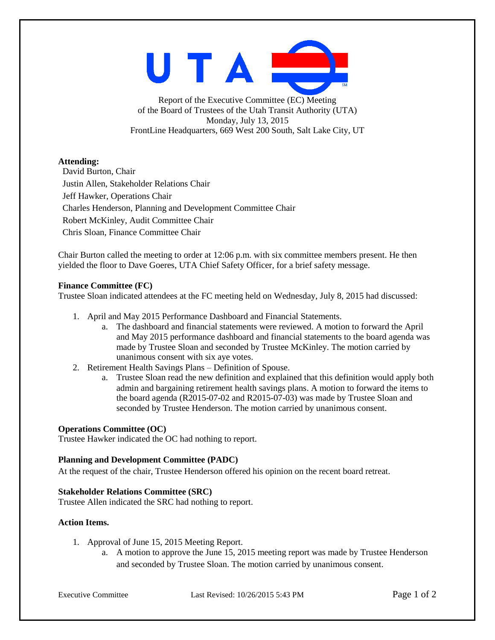UTAI

Report of the Executive Committee (EC) Meeting of the Board of Trustees of the Utah Transit Authority (UTA) Monday, July 13, 2015 FrontLine Headquarters, 669 West 200 South, Salt Lake City, UT

# **Attending:**

David Burton, Chair Justin Allen, Stakeholder Relations Chair Jeff Hawker, Operations Chair Charles Henderson, Planning and Development Committee Chair Robert McKinley, Audit Committee Chair Chris Sloan, Finance Committee Chair

Chair Burton called the meeting to order at 12:06 p.m. with six committee members present. He then yielded the floor to Dave Goeres, UTA Chief Safety Officer, for a brief safety message.

## **Finance Committee (FC)**

Trustee Sloan indicated attendees at the FC meeting held on Wednesday, July 8, 2015 had discussed:

- 1. April and May 2015 Performance Dashboard and Financial Statements.
	- a. The dashboard and financial statements were reviewed. A motion to forward the April and May 2015 performance dashboard and financial statements to the board agenda was made by Trustee Sloan and seconded by Trustee McKinley. The motion carried by unanimous consent with six aye votes.
- 2. Retirement Health Savings Plans Definition of Spouse.
	- a. Trustee Sloan read the new definition and explained that this definition would apply both admin and bargaining retirement health savings plans. A motion to forward the items to the board agenda (R2015-07-02 and R2015-07-03) was made by Trustee Sloan and seconded by Trustee Henderson. The motion carried by unanimous consent.

## **Operations Committee (OC)**

Trustee Hawker indicated the OC had nothing to report.

## **Planning and Development Committee (PADC)**

At the request of the chair, Trustee Henderson offered his opinion on the recent board retreat.

## **Stakeholder Relations Committee (SRC)**

Trustee Allen indicated the SRC had nothing to report.

## **Action Items.**

- 1. Approval of June 15, 2015 Meeting Report.
	- a. A motion to approve the June 15, 2015 meeting report was made by Trustee Henderson and seconded by Trustee Sloan. The motion carried by unanimous consent.